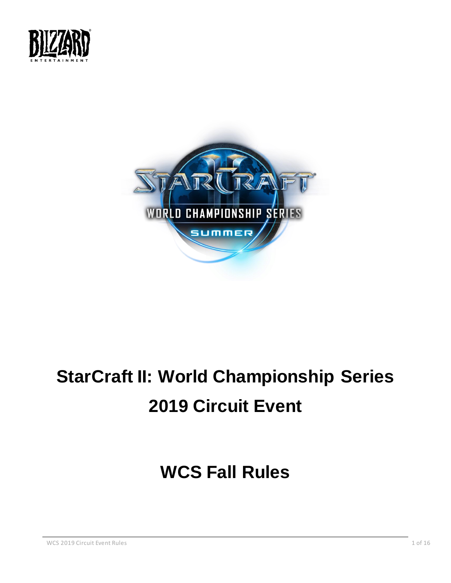



# **StarCraft II: World Championship Series 2019 Circuit Event**

## **WCS Fall Rules**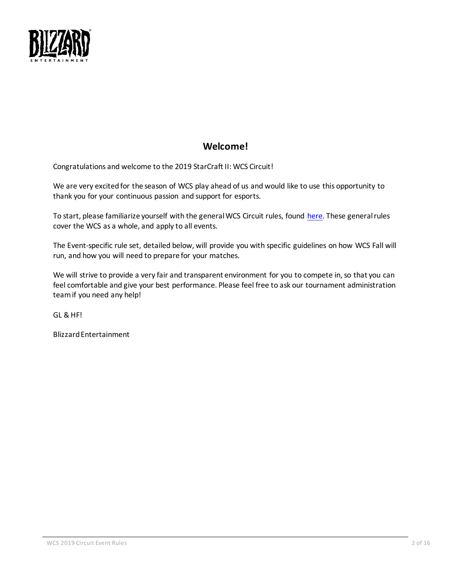

## **Welcome!**

Congratulations and welcome to the 2019 StarCraft II: WCS Circuit!

We are very excited for the season of WCS play ahead of us and would like to use this opportunity to thank you for your continuous passion and support for esports.

To start, please familiarize yourself with the general WCS Circuit rules, found [here.](https://bnetcmsus-a.akamaihd.net/cms/gallery/no/NOKZ0GJO1ZP31549474261241.pdf) These general rules cover the WCS as a whole, and apply to all events.

The Event-specific rule set, detailed below, will provide you with specific guidelines on how WCS Fall will run, and how you will need to prepare for your matches.

We will strive to provide a very fair and transparent environment for you to compete in, so that you can feel comfortable and give your best performance. Please feel free to ask our tournament administration team if you need any help!

GL & HF!

Blizzard Entertainment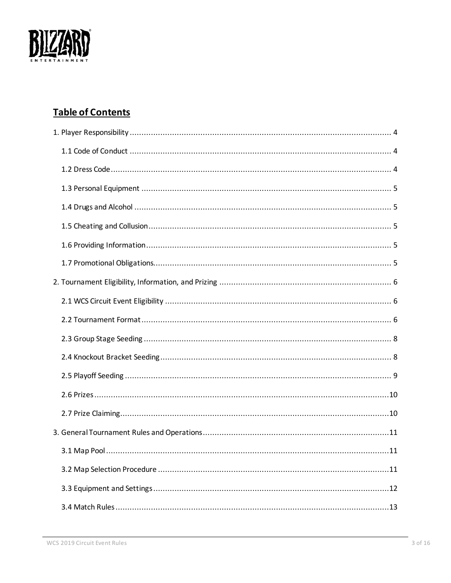

## **Table of Contents**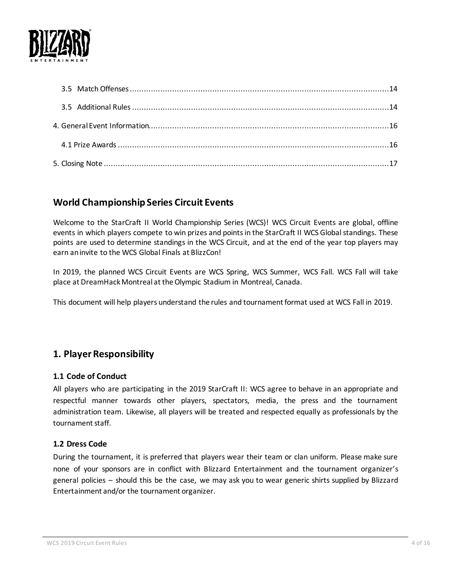<span id="page-3-3"></span>

## **World Championship Series Circuit Events**

Welcome to the StarCraft II World Championship Series (WCS)! WCS Circuit Events are global, offline events in which players compete to win prizes and points in the StarCraft II WCS Global standings. These points are used to determine standings in the WCS Circuit, and at the end of the year top players may earn an invite to the WCS Global Finals at BlizzCon!

In 2019, the planned WCS Circuit Events are WCS Spring, WCS Summer, WCS Fall. WCS Fall will take place at DreamHack Montreal at the Olympic Stadium in Montreal, Canada.

This document will help players understand the rules and tournament format used at WCS Fall in 2019.

## <span id="page-3-0"></span>**1. Player Responsibility**

#### <span id="page-3-1"></span>**1.1 Code of Conduct**

All players who are participating in the 2019 StarCraft II: WCS agree to behave in an appropriate and respectful manner towards other players, spectators, media, the press and the tournament administration team. Likewise, all players will be treated and respected equally as professionals by the tournament staff.

#### <span id="page-3-2"></span>**1.2 Dress Code**

During the tournament, it is preferred that players wear their team or clan uniform. Please make sure none of your sponsors are in conflict with Blizzard Entertainment and the tournament organizer's general policies – should this be the case, we may ask you to wear generic shirts supplied by Blizzard Entertainment and/or the tournament organizer.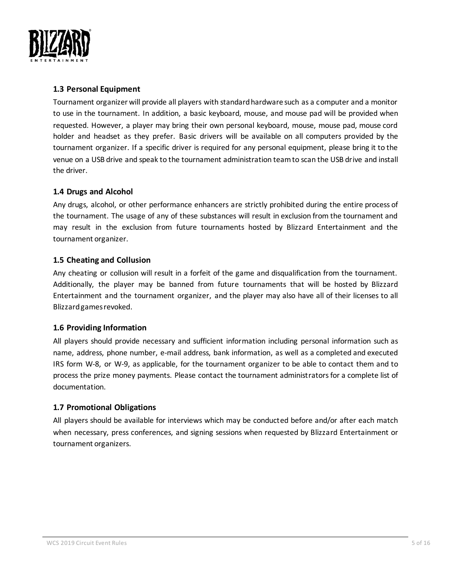

#### **1.3 Personal Equipment**

Tournament organizer will provide all players with standard hardware such as a computer and a monitor to use in the tournament. In addition, a basic keyboard, mouse, and mouse pad will be provided when requested. However, a player may bring their own personal keyboard, mouse, mouse pad, mouse cord holder and headset as they prefer. Basic drivers will be available on all computers provided by the tournament organizer. If a specific driver is required for any personal equipment, please bring it to the venue on a USB drive and speak to the tournament administration team to scan the USB drive and install the driver.

#### <span id="page-4-0"></span>**1.4 Drugs and Alcohol**

Any drugs, alcohol, or other performance enhancers are strictly prohibited during the entire process of the tournament. The usage of any of these substances will result in exclusion from the tournament and may result in the exclusion from future tournaments hosted by Blizzard Entertainment and the tournament organizer.

#### <span id="page-4-1"></span>**1.5 Cheating and Collusion**

Any cheating or collusion will result in a forfeit of the game and disqualification from the tournament. Additionally, the player may be banned from future tournaments that will be hosted by Blizzard Entertainment and the tournament organizer, and the player may also have all of their licenses to all Blizzard games revoked.

#### <span id="page-4-2"></span>**1.6 Providing Information**

All players should provide necessary and sufficient information including personal information such as name, address, phone number, e-mail address, bank information, as well as a completed and executed IRS form W-8, or W-9, as applicable, for the tournament organizer to be able to contact them and to process the prize money payments. Please contact the tournament administrators for a complete list of documentation.

#### <span id="page-4-3"></span>**1.7 Promotional Obligations**

All players should be available for interviews which may be conducted before and/or after each match when necessary, press conferences, and signing sessions when requested by Blizzard Entertainment or tournament organizers.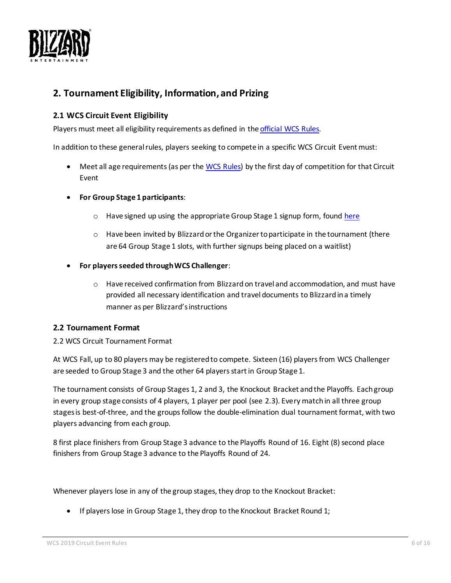

## <span id="page-5-0"></span>**2. Tournament Eligibility, Information, and Prizing**

#### <span id="page-5-1"></span>**2.1 WCS Circuit Event Eligibility**

Players must meet all eligibility requirements as defined in th[e official WCS Rules.](https://bnetcmsus-a.akamaihd.net/cms/gallery/no/NOKZ0GJO1ZP31549474261241.pdf)

In addition to these general rules, players seeking to compete in a specific WCS Circuit Event must:

- Meet all age requirements (as per the [WCS Rules\)](https://bnetcmsus-a.akamaihd.net/cms/gallery/no/NOKZ0GJO1ZP31549474261241.pdf) by the first day of competition for that Circuit Event
- **For Group Stage 1 participants**:
	- o Have signed up using the appropriate Group Stage 1 signup form, found [here](https://dreamhack.com/article/wcs-fall-signups/)
	- o Have been invited by Blizzard or the Organizer to participate in the tournament (there are 64 Group Stage 1 slots, with further signups being placed on a waitlist)
- **For players seeded through WCS Challenger**:
	- $\circ$  Have received confirmation from Blizzard on travel and accommodation, and must have provided all necessary identification and travel documents to Blizzard in a timely manner as per Blizzard's instructions

#### <span id="page-5-2"></span>**2.2 Tournament Format**

#### 2.2 WCS Circuit Tournament Format

At WCS Fall, up to 80 players may be registered to compete. Sixteen (16) players from WCS Challenger are seeded to Group Stage 3 and the other 64 players start in Group Stage 1.

The tournament consists of Group Stages 1, 2 and 3, the Knockout Bracket and the Playoffs. Each group in every group stage consists of 4 players, 1 player per pool (see 2.3). Every match in all three group stages is best-of-three, and the groups follow the double-elimination dual tournament format, with two players advancing from each group.

8 first place finishers from Group Stage 3 advance to the Playoffs Round of 16. Eight (8) second place finishers from Group Stage 3 advance to the Playoffs Round of 24.

Whenever players lose in any of the group stages, they drop to the Knockout Bracket:

• If players lose in Group Stage 1, they drop to the Knockout Bracket Round 1;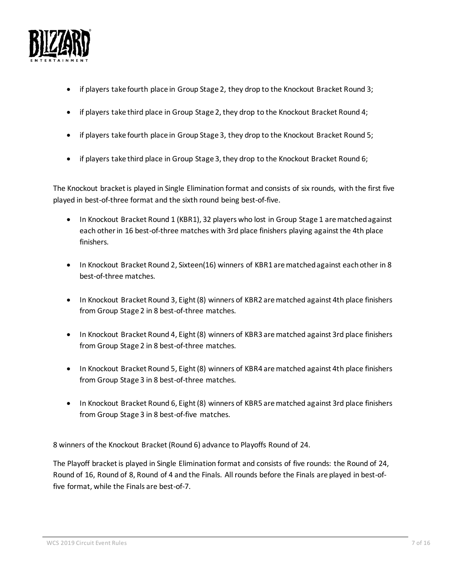

- if players take fourth place in Group Stage 2, they drop to the Knockout Bracket Round 3;
- if players take third place in Group Stage 2, they drop to the Knockout Bracket Round 4;
- if players take fourth place in Group Stage 3, they drop to the Knockout Bracket Round 5;
- if players take third place in Group Stage 3, they drop to the Knockout Bracket Round 6;

The Knockout bracket is played in Single Elimination format and consists of six rounds, with the first five played in best-of-three format and the sixth round being best-of-five.

- In Knockout Bracket Round 1 (KBR1), 32 players who lost in Group Stage 1 are matched against each other in 16 best-of-three matches with 3rd place finishers playing against the 4th place finishers.
- In Knockout Bracket Round 2, Sixteen(16) winners of KBR1 are matched against each other in 8 best-of-three matches.
- In Knockout Bracket Round 3, Eight (8) winners of KBR2 are matched against 4th place finishers from Group Stage 2 in 8 best-of-three matches.
- In Knockout Bracket Round 4, Eight (8) winners of KBR3 are matched against 3rd place finishers from Group Stage 2 in 8 best-of-three matches.
- In Knockout Bracket Round 5, Eight (8) winners of KBR4 are matched against 4th place finishers from Group Stage 3 in 8 best-of-three matches.
- In Knockout Bracket Round 6, Eight (8) winners of KBR5 are matched against 3rd place finishers from Group Stage 3 in 8 best-of-five matches.

8 winners of the Knockout Bracket (Round 6) advance to Playoffs Round of 24.

The Playoff bracket is played in Single Elimination format and consists of five rounds: the Round of 24, Round of 16, Round of 8, Round of 4 and the Finals. All rounds before the Finals are played in best-offive format, while the Finals are best-of-7.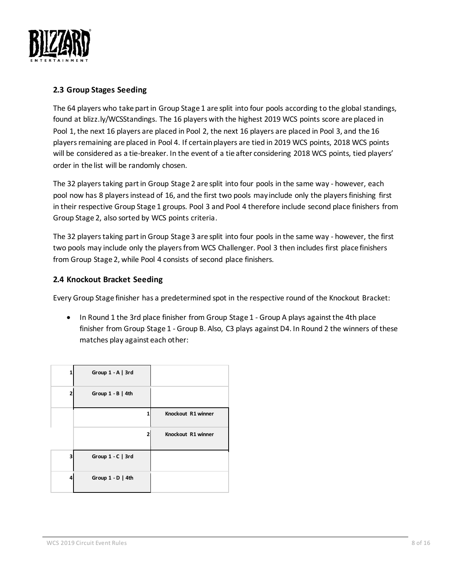

#### **2.3 Group Stages Seeding**

The 64 players who take part in Group Stage 1 are split into four pools according to the global standings, found at blizz.ly/WCSStandings. The 16 players with the highest 2019 WCS points score are placed in Pool 1, the next 16 players are placed in Pool 2, the next 16 players are placed in Pool 3, and the 16 players remaining are placed in Pool 4. If certain players are tied in 2019 WCS points, 2018 WCS points will be considered as a tie-breaker. In the event of a tie after considering 2018 WCS points, tied players' order in the list will be randomly chosen.

The 32 players taking part in Group Stage 2 are split into four pools in the same way - however, each pool now has 8 players instead of 16, and the first two pools may include only the players finishing first in their respective Group Stage 1 groups. Pool 3 and Pool 4 therefore include second place finishers from Group Stage 2, also sorted by WCS points criteria.

The 32 players taking part in Group Stage 3 are split into four pools in the same way - however, the first two pools may include only the players from WCS Challenger. Pool 3 then includes first place finishers from Group Stage 2, while Pool 4 consists of second place finishers.

#### **2.4 Knockout Bracket Seeding**

Every Group Stage finisher has a predetermined spot in the respective round of the Knockout Bracket:

• In Round 1 the 3rd place finisher from Group Stage 1 - Group A plays against the 4th place finisher from Group Stage 1 - Group B. Also, C3 plays against D4. In Round 2 the winners of these matches play against each other:

| 1 | Group $1 - A$   3rd |                    |
|---|---------------------|--------------------|
| 2 | Group $1 - B$   4th |                    |
|   |                     | Knockout R1 winner |
|   | 2                   | Knockout R1 winner |
| 3 | Group $1 - C$   3rd |                    |
| 4 | Group $1 - D$   4th |                    |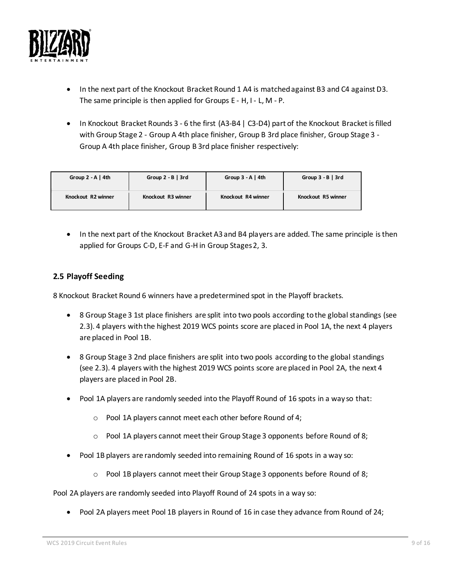

- In the next part of the Knockout Bracket Round 1 A4 is matched against B3 and C4 against D3. The same principle is then applied for Groups E - H, I - L, M - P.
- In Knockout Bracket Rounds 3 6 the first (A3-B4 | C3-D4) part of the Knockout Bracket is filled with Group Stage 2 - Group A 4th place finisher, Group B 3rd place finisher, Group Stage 3 - Group A 4th place finisher, Group B 3rd place finisher respectively:

| Group $2 - A$   4th | Group $2 - B$   3rd | Group $3 - A$   4th | Group $3 - B$   $3rd$ |
|---------------------|---------------------|---------------------|-----------------------|
| Knockout R2 winner  | Knockout R3 winner  | Knockout R4 winner  | Knockout R5 winner    |

• In the next part of the Knockout Bracket A3 and B4 players are added. The same principle is then applied for Groups C-D, E-F and G-H in Group Stages 2, 3.

#### **2.5 Playoff Seeding**

8 Knockout Bracket Round 6 winners have a predetermined spot in the Playoff brackets.

- 8 Group Stage 3 1st place finishers are split into two pools according to the global standings (see 2.3). 4 players with the highest 2019 WCS points score are placed in Pool 1A, the next 4 players are placed in Pool 1B.
- 8 Group Stage 3 2nd place finishers are split into two pools according to the global standings (see 2.3). 4 players with the highest 2019 WCS points score are placed in Pool 2A, the next 4 players are placed in Pool 2B.
- Pool 1A players are randomly seeded into the Playoff Round of 16 spots in a way so that:
	- o Pool 1A players cannot meet each other before Round of 4;
	- o Pool 1A players cannot meet their Group Stage 3 opponents before Round of 8;
- Pool 1B players are randomly seeded into remaining Round of 16 spots in a way so:
	- $\circ$  Pool 1B players cannot meet their Group Stage 3 opponents before Round of 8;

Pool 2A players are randomly seeded into Playoff Round of 24 spots in a way so:

• Pool 2A players meet Pool 1B players in Round of 16 in case they advance from Round of 24;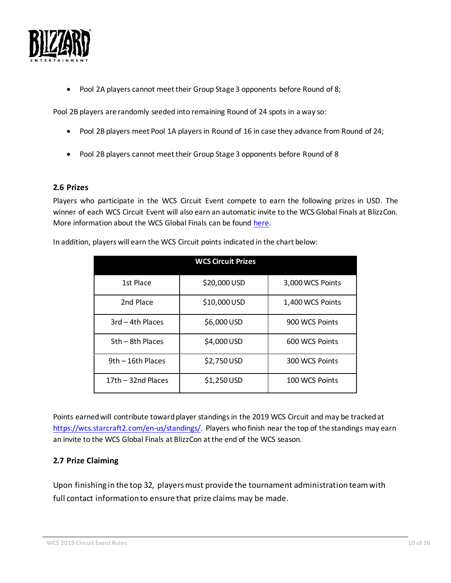<span id="page-9-2"></span>

• Pool 2A players cannot meet their Group Stage 3 opponents before Round of 8;

Pool 2B players are randomly seeded into remaining Round of 24 spots in a way so:

- Pool 2B players meet Pool 1A players in Round of 16 in case they advance from Round of 24;
- Pool 2B players cannot meet their Group Stage 3 opponents before Round of 8

#### <span id="page-9-0"></span>**2.6 Prizes**

Players who participate in the WCS Circuit Event compete to earn the following prizes in USD. The winner of each WCS Circuit Event will also earn an automatic invite to the WCS Global Finals at BlizzCon. More information about the WCS Global Finals can be found [here.](https://bnetcmsus-a.akamaihd.net/cms/gallery/no/NOKZ0GJO1ZP31549474261241.pdf)

| <b>WCS Circuit Prizes</b> |              |                  |  |  |  |
|---------------------------|--------------|------------------|--|--|--|
| 1st Place                 | \$20,000 USD | 3,000 WCS Points |  |  |  |
| 2nd Place                 | \$10,000 USD | 1,400 WCS Points |  |  |  |
| 3rd - 4th Places          | \$6,000 USD  | 900 WCS Points   |  |  |  |
| 5th – 8th Places          | \$4,000 USD  | 600 WCS Points   |  |  |  |
| 9th - 16th Places         | \$2,750 USD  | 300 WCS Points   |  |  |  |
| 17th - 32nd Places        | \$1,250 USD  | 100 WCS Points   |  |  |  |

In addition, players will earn the WCS Circuit points indicated in the chart below:

Points earned will contribute toward player standings in the 2019 WCS Circuit and may be tracked at [https://wcs.starcraft2.com/en-us/standings/.](https://wcs.starcraft2.com/en-us/standings/) Players who finish near the top of the standings may earn an invite to the WCS Global Finals at BlizzCon at the end of the WCS season.

#### <span id="page-9-1"></span>**2.7 Prize Claiming**

Upon finishing in the top 32, players must provide the tournament administration team with full contact information to ensure that prize claims may be made.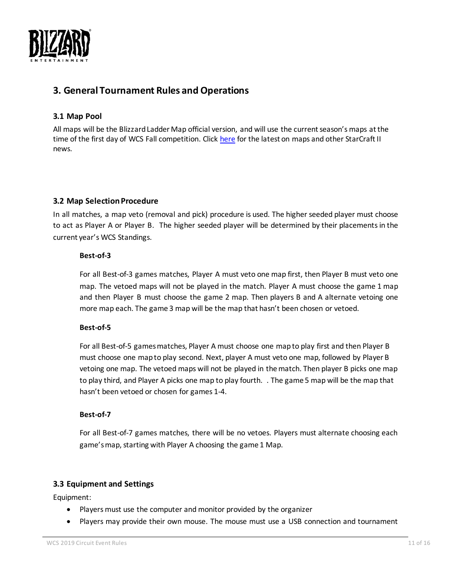

## **3. General Tournament Rules and Operations**

#### <span id="page-10-0"></span>**3.1 Map Pool**

All maps will be the Blizzard Ladder Map official version, and will use the current season's maps at the time of the first day of WCS Fall competition. Click [here](https://starcraft2.com/en-us/news) for the latest on maps and other StarCraft II news.

#### <span id="page-10-1"></span>**3.2 Map Selection Procedure**

In all matches, a map veto (removal and pick) procedure is used. The higher seeded player must choose to act as Player A or Player B. The higher seeded player will be determined by their placementsin the current year's WCS Standings.

#### **Best-of-3**

For all Best-of-3 games matches, Player A must veto one map first, then Player B must veto one map. The vetoed maps will not be played in the match. Player A must choose the game 1 map and then Player B must choose the game 2 map. Then players B and A alternate vetoing one more map each. The game 3 map will be the map that hasn't been chosen or vetoed.

#### **Best-of-5**

For all Best-of-5 games matches, Player A must choose one mapto play first and then Player B must choose one mapto play second. Next, player A must veto one map, followed by Player B vetoing one map. The vetoed maps will not be played in the match. Then player B picks one map to play third, and Player A picks one map to play fourth. . The game 5 map will be the map that hasn't been vetoed or chosen for games 1-4.

#### **Best-of-7**

For all Best-of-7 games matches, there will be no vetoes. Players must alternate choosing each game's map, starting with Player A choosing the game 1 Map.

#### <span id="page-10-2"></span>**3.3 Equipment and Settings**

Equipment:

- Players must use the computer and monitor provided by the organizer
- Players may provide their own mouse. The mouse must use a USB connection and tournament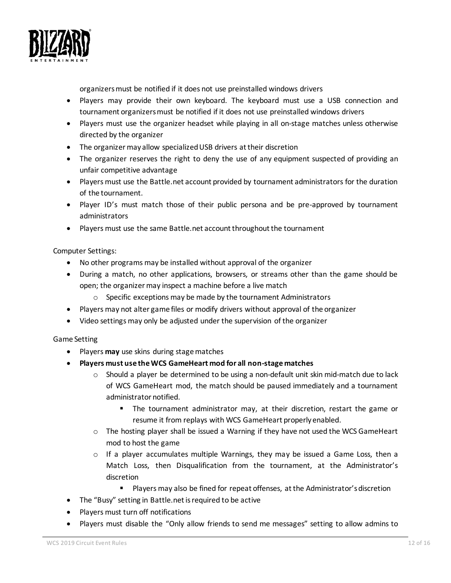

organizers must be notified if it does not use preinstalled windows drivers

- Players may provide their own keyboard. The keyboard must use a USB connection and tournament organizers must be notified if it does not use preinstalled windows drivers
- Players must use the organizer headset while playing in all on-stage matches unless otherwise directed by the organizer
- The organizer may allow specialized USB drivers at their discretion
- The organizer reserves the right to deny the use of any equipment suspected of providing an unfair competitive advantage
- Players must use the Battle.net account provided by tournament administrators for the duration of the tournament.
- Player ID's must match those of their public persona and be pre-approved by tournament administrators
- Players must use the same Battle.net account throughout the tournament

#### Computer Settings:

- No other programs may be installed without approval of the organizer
- During a match, no other applications, browsers, or streams other than the game should be open; the organizer may inspect a machine before a live match
	- o Specific exceptions may be made by the tournament Administrators
- Players may not alter game files or modify drivers without approval of the organizer
- Video settings may only be adjusted under the supervision of the organizer

#### Game Setting

- Players **may** use skins during stage matches
- **Players must use the WCS GameHeart mod for all non-stage matches**
	- o Should a player be determined to be using a non-default unit skin mid-match due to lack of WCS GameHeart mod, the match should be paused immediately and a tournament administrator notified.
		- **•** The tournament administrator may, at their discretion, restart the game or resume it from replays with WCS GameHeart properly enabled.
	- $\circ$  The hosting player shall be issued a Warning if they have not used the WCS GameHeart mod to host the game
	- $\circ$  If a player accumulates multiple Warnings, they may be issued a Game Loss, then a Match Loss, then Disqualification from the tournament, at the Administrator's discretion
		- Players may also be fined for repeat offenses, at the Administrator's discretion
- The "Busy" setting in Battle.net isrequired to be active
- Players must turn off notifications
- Players must disable the "Only allow friends to send me messages" setting to allow admins to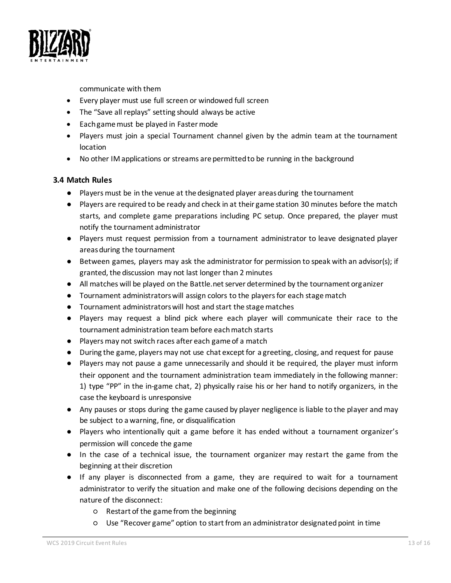

communicate with them

- Every player must use full screen or windowed full screen
- The "Save all replays" setting should always be active
- Each game must be played in Faster mode
- Players must join a special Tournament channel given by the admin team at the tournament location
- No other IM applications or streams are permitted to be running in the background

#### <span id="page-12-0"></span>**3.4 Match Rules**

- Players must be in the venue at the designated player areas during the tournament
- Players are required to be ready and check in at their game station 30 minutes before the match starts, and complete game preparations including PC setup. Once prepared, the player must notify the tournament administrator
- Players must request permission from a tournament administrator to leave designated player areas during the tournament
- Between games, players may ask the administrator for permission to speak with an advisor(s); if granted, the discussion may not last longer than 2 minutes
- All matches will be played on the Battle.net server determined by the tournament organizer
- Tournament administratorswill assign colors to the players for each stage match
- Tournament administrators will host and start the stagematches
- Players may request a blind pick where each player will communicate their race to the tournament administration team before each match starts
- Players may not switch races after each game of a match
- During the game, players may not use chat except for a greeting, closing, and request for pause
- Players may not pause a game unnecessarily and should it be required, the player must inform their opponent and the tournament administration team immediately in the following manner: 1) type "PP" in the in-game chat, 2) physically raise his or her hand to notify organizers, in the case the keyboard is unresponsive
- Any pauses or stops during the game caused by player negligence is liable to the player and may be subject to a warning, fine, or disqualification
- Players who intentionally quit a game before it has ended without a tournament organizer's permission will concede the game
- In the case of a technical issue, the tournament organizer may restart the game from the beginning at their discretion
- If any player is disconnected from a game, they are required to wait for a tournament administrator to verify the situation and make one of the following decisions depending on the nature of the disconnect:
	- Restart of the game from the beginning
	- Use "Recover game" option to start from an administrator designated point in time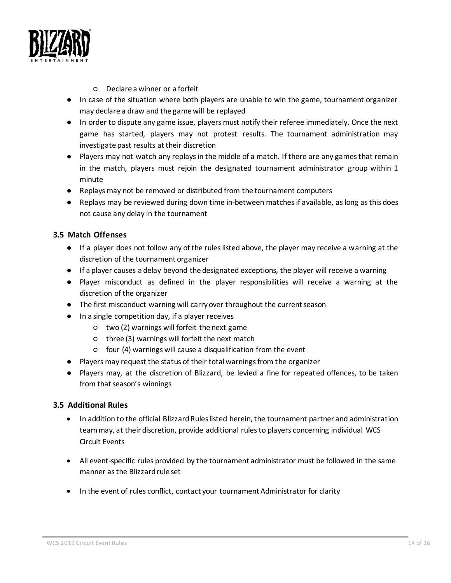

- Declare a winner or a forfeit
- In case of the situation where both players are unable to win the game, tournament organizer may declare a draw and the game will be replayed
- In order to dispute any game issue, players must notify their referee immediately. Once the next game has started, players may not protest results. The tournament administration may investigate past results at their discretion
- Players may not watch any replays in the middle of a match. If there are any games that remain in the match, players must rejoin the designated tournament administrator group within 1 minute
- Replays may not be removed or distributed from the tournament computers
- Replays may be reviewed during down time in-between matches if available, as long as this does not cause any delay in the tournament

#### <span id="page-13-0"></span>**3.5 Match Offenses**

- If a player does not follow any of the rules listed above, the player may receive a warning at the discretion of the tournament organizer
- If a player causes a delay beyond the designated exceptions, the player will receive a warning
- Player misconduct as defined in the player responsibilities will receive a warning at the discretion of the organizer
- The first misconduct warning will carry over throughout the current season
- In a single competition day, if a player receives
	- two (2) warnings will forfeit the next game
	- three (3) warnings will forfeit the next match
	- four (4) warnings will cause a disqualification from the event
- Players may request the status of their total warnings from the organizer
- Players may, at the discretion of Blizzard, be levied a fine for repeated offences, to be taken from that season's winnings

#### <span id="page-13-1"></span>**3.5 Additional Rules**

- In addition to the official Blizzard Rules listed herein, the tournament partner and administration team may, at their discretion, provide additional rules to players concerning individual WCS Circuit Events
- All event-specific rules provided by the tournament administrator must be followed in the same manner as the Blizzard rule set
- In the event of rules conflict, contact your tournament Administrator for clarity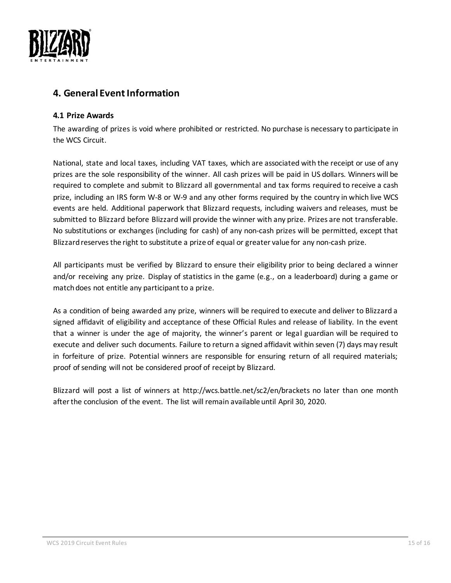

## <span id="page-14-0"></span>**4. General Event Information**

#### <span id="page-14-1"></span>**4.1 Prize Awards**

The awarding of prizes is void where prohibited or restricted. No purchase is necessary to participate in the WCS Circuit.

National, state and local taxes, including VAT taxes, which are associated with the receipt or use of any prizes are the sole responsibility of the winner. All cash prizes will be paid in US dollars. Winners will be required to complete and submit to Blizzard all governmental and tax forms required to receive a cash prize, including an IRS form W-8 or W-9 and any other forms required by the country in which live WCS events are held. Additional paperwork that Blizzard requests, including waivers and releases, must be submitted to Blizzard before Blizzard will provide the winner with any prize. Prizes are not transferable. No substitutions or exchanges (including for cash) of any non-cash prizes will be permitted, except that Blizzard reserves the right to substitute a prize of equal or greater value for any non-cash prize.

All participants must be verified by Blizzard to ensure their eligibility prior to being declared a winner and/or receiving any prize. Display of statistics in the game (e.g., on a leaderboard) during a game or match does not entitle any participant to a prize.

As a condition of being awarded any prize, winners will be required to execute and deliver to Blizzard a signed affidavit of eligibility and acceptance of these Official Rules and release of liability. In the event that a winner is under the age of majority, the winner's parent or legal guardian will be required to execute and deliver such documents. Failure to return a signed affidavit within seven (7) days may result in forfeiture of prize. Potential winners are responsible for ensuring return of all required materials; proof of sending will not be considered proof of receipt by Blizzard.

Blizzard will post a list of winners at http://wcs.battle.net/sc2/en/brackets no later than one month after the conclusion of the event. The list will remain available until April 30, 2020.